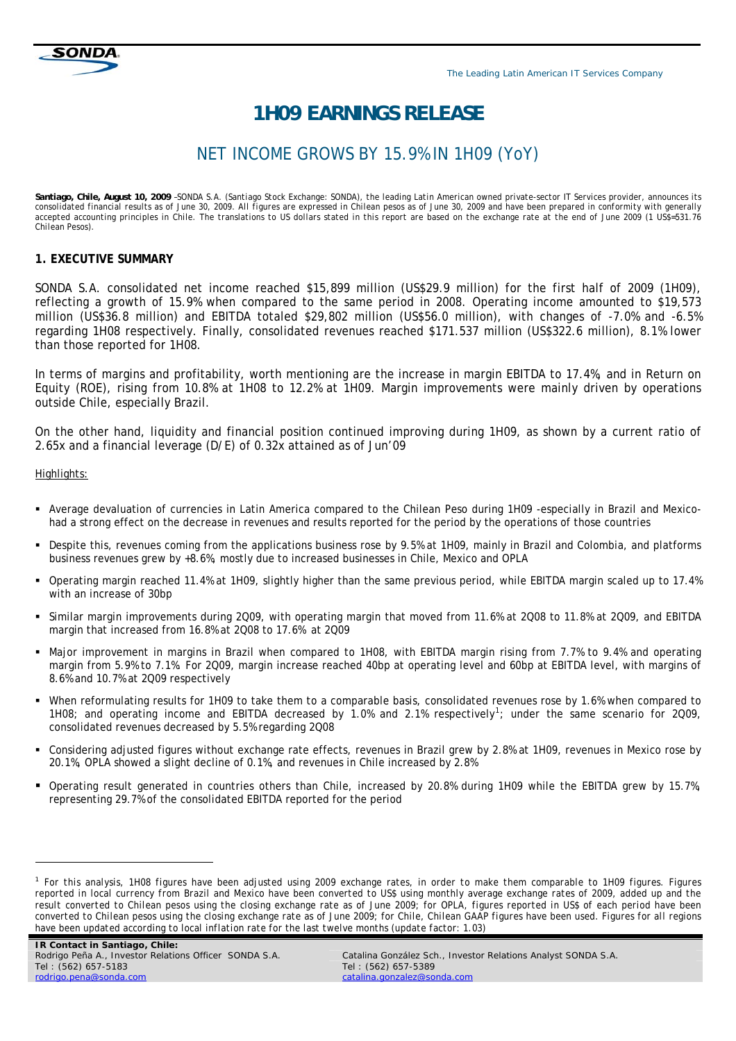

# *1H09 EARNINGS RELEASE*

# NET INCOME GROWS BY 15.9% IN 1H09 (YoY)

*Santiago, Chile, August 10, 2009 –SONDA S.A. (Santiago Stock Exchange: SONDA), the leading Latin American owned private-sector IT Services provider, announces its consolidated financial results as of June 30, 2009. All figures are expressed in Chilean pesos as of June 30, 2009 and have been prepared in conformity with generally accepted accounting principles in Chile. The translations to US dollars stated in this report are based on the exchange rate at the end of June 2009 (1 US\$=531.76 Chilean Pesos).* 

#### **1. EXECUTIVE SUMMARY**

SONDA S.A. consolidated net income reached \$15,899 million (US\$29.9 million) for the first half of 2009 (1H09), reflecting a growth of 15.9% when compared to the same period in 2008. Operating income amounted to \$19,573 million (US\$36.8 million) and EBITDA totaled \$29,802 million (US\$56.0 million), with changes of -7.0% and -6.5% regarding 1H08 respectively. Finally, consolidated revenues reached \$171.537 million (US\$322.6 million), 8.1% lower than those reported for 1H08.

In terms of margins and profitability, worth mentioning are the increase in margin EBITDA to 17.4%, and in Return on Equity (ROE), rising from 10.8% at 1H08 to 12.2% at 1H09. Margin improvements were mainly driven by operations outside Chile, especially Brazil.

On the other hand, liquidity and financial position continued improving during 1H09, as shown by a current ratio of 2.65x and a financial leverage (D/E) of 0.32x attained as of Jun'09

#### Highlights:

ł

- Average devaluation of currencies in Latin America compared to the Chilean Peso during 1H09 -especially in Brazil and Mexicohad a strong effect on the decrease in revenues and results reported for the period by the operations of those countries
- Despite this, revenues coming from the applications business rose by 9.5% at 1H09, mainly in Brazil and Colombia, and platforms business revenues grew by +8.6%, mostly due to increased businesses in Chile, Mexico and OPLA
- Operating margin reached 11.4% at 1H09, slightly higher than the same previous period, while EBITDA margin scaled up to 17.4% with an increase of 30bp
- Similar margin improvements during 2Q09, with operating margin that moved from 11.6% at 2Q08 to 11.8% at 2Q09, and EBITDA margin that increased from 16.8% at 2Q08 to 17.6% at 2Q09
- Major improvement in margins in Brazil when compared to 1H08, with EBITDA margin rising from 7.7% to 9.4% and operating margin from 5.9% to 7.1%. For 2Q09, margin increase reached 40bp at operating level and 60bp at EBITDA level, with margins of 8.6% and 10.7% at 2Q09 respectively
- When reformulating results for 1H09 to take them to a comparable basis, consolidated revenues rose by 1.6% when compared to [1](#page-0-0)H08; and operating income and EBITDA decreased by 1.0% and 2.1% respectively<sup>1</sup>; under the same scenario for 2Q09, consolidated revenues decreased by 5.5% regarding 2Q08
- Considering adjusted figures without exchange rate effects, revenues in Brazil grew by 2.8% at 1H09, revenues in Mexico rose by 20.1%, OPLA showed a slight decline of 0.1%, and revenues in Chile increased by 2.8%
- Operating result generated in countries others than Chile, increased by 20.8% during 1H09 while the EBITDA grew by 15.7%, representing 29.7% of the consolidated EBITDA reported for the period

<span id="page-0-0"></span><sup>&</sup>lt;sup>1</sup> For this analysis, 1H08 figures have been adjusted using 2009 exchange rates, in order to make them comparable to 1H09 figures. Figures *reported in local currency from Brazil and Mexico have been converted to US\$ using monthly average exchange rates of 2009, added up and the result converted to Chilean pesos using the closing exchange rate as of June 2009; for OPLA, figures reported in US\$ of each period have been converted to Chilean pesos using the closing exchange rate as of June 2009; for Chile, Chilean GAAP figures have been used. Figures for all regions have been updated according to local inflation rate for the last twelve months (update factor: 1.03)*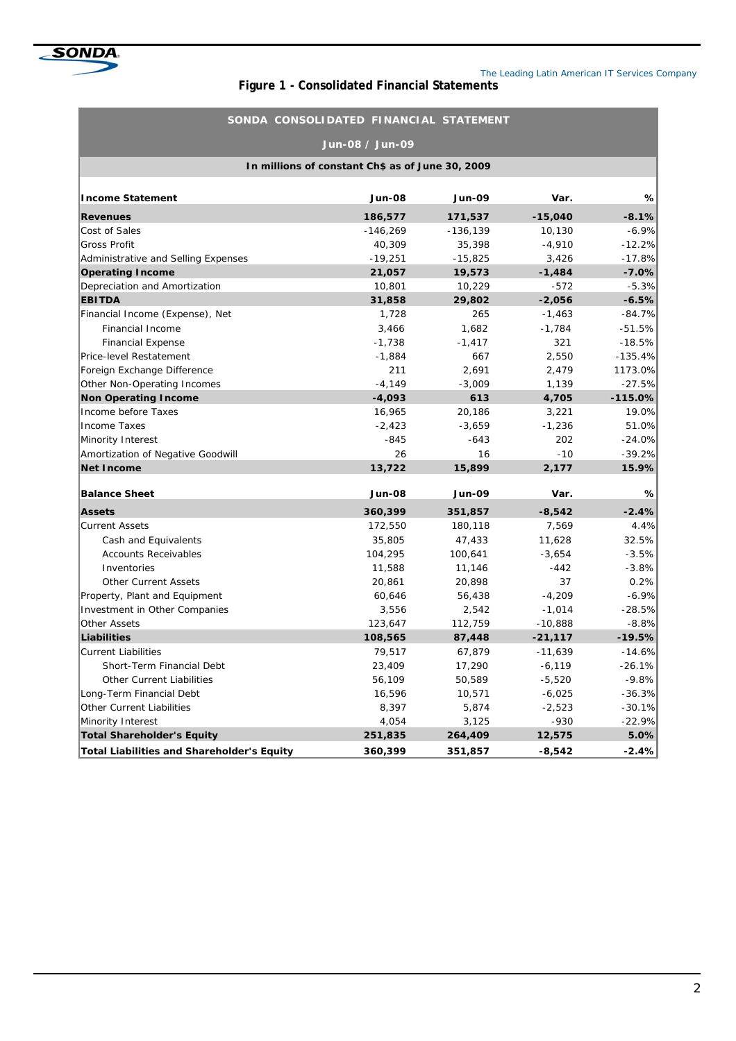

The Leading Latin American IT Services Company

# **Figure 1 - Consolidated Financial Statements**

# **SONDA CONSOLIDATED FINANCIAL STATEMENT**

#### **Jun-08 / Jun-09**

|                                                   | In millions of constant Ch\$ as of June 30, 2009 |               |           |           |
|---------------------------------------------------|--------------------------------------------------|---------------|-----------|-----------|
| <b>Income Statement</b>                           | <b>Jun-08</b>                                    | <b>Jun-09</b> | Var.      | %         |
| <b>Revenues</b>                                   | 186,577                                          | 171,537       | $-15,040$ | $-8.1%$   |
| Cost of Sales                                     | $-146,269$                                       | $-136, 139$   | 10,130    | $-6.9%$   |
| <b>Gross Profit</b>                               | 40,309                                           | 35,398        | $-4,910$  | $-12.2%$  |
| Administrative and Selling Expenses               | $-19,251$                                        | $-15,825$     | 3,426     | $-17.8%$  |
| <b>Operating Income</b>                           | 21,057                                           | 19,573        | $-1,484$  | $-7.0%$   |
| Depreciation and Amortization                     | 10,801                                           | 10,229        | $-572$    | $-5.3%$   |
| <b>EBITDA</b>                                     | 31,858                                           | 29,802        | $-2,056$  | $-6.5%$   |
| Financial Income (Expense), Net                   | 1,728                                            | 265           | $-1,463$  | $-84.7%$  |
| Financial Income                                  | 3,466                                            | 1,682         | $-1,784$  | $-51.5%$  |
| <b>Financial Expense</b>                          | $-1,738$                                         | $-1,417$      | 321       | $-18.5%$  |
| Price-level Restatement                           | $-1,884$                                         | 667           | 2,550     | $-135.4%$ |
| Foreign Exchange Difference                       | 211                                              | 2,691         | 2,479     | 1173.0%   |
| Other Non-Operating Incomes                       | $-4,149$                                         | $-3,009$      | 1,139     | $-27.5%$  |
| <b>Non Operating Income</b>                       | $-4,093$                                         | 613           | 4,705     | $-115.0%$ |
| Income before Taxes                               | 16,965                                           | 20,186        | 3,221     | 19.0%     |
| <b>Income Taxes</b>                               | $-2,423$                                         | $-3,659$      | $-1,236$  | 51.0%     |
| Minority Interest                                 | $-845$                                           | $-643$        | 202       | $-24.0%$  |
| Amortization of Negative Goodwill                 | 26                                               | 16            | $-10$     | $-39.2%$  |
| <b>Net Income</b>                                 | 13,722                                           | 15,899        | 2,177     | 15.9%     |
| <b>Balance Sheet</b>                              | <b>Jun-08</b>                                    | <b>Jun-09</b> | Var.      | %         |
| <b>Assets</b>                                     | 360,399                                          | 351,857       | $-8,542$  | $-2.4%$   |
| Current Assets                                    | 172,550                                          | 180,118       | 7,569     | 4.4%      |
| Cash and Equivalents                              | 35,805                                           | 47,433        | 11,628    | 32.5%     |
| <b>Accounts Receivables</b>                       | 104,295                                          | 100,641       | $-3,654$  | $-3.5%$   |
| Inventories                                       | 11,588                                           | 11,146        | $-442$    | $-3.8%$   |
| <b>Other Current Assets</b>                       | 20,861                                           | 20,898        | 37        | 0.2%      |
| Property, Plant and Equipment                     | 60,646                                           | 56,438        | $-4,209$  | $-6.9%$   |
| Investment in Other Companies                     | 3,556                                            | 2,542         | $-1,014$  | $-28.5%$  |
| Other Assets                                      | 123,647                                          | 112,759       | $-10,888$ | $-8.8%$   |
| <b>Liabilities</b>                                | 108,565                                          | 87,448        | $-21,117$ | $-19.5%$  |
| <b>Current Liabilities</b>                        | 79,517                                           | 67,879        | $-11,639$ | $-14.6%$  |
| Short-Term Financial Debt                         | 23,409                                           | 17,290        | $-6,119$  | $-26.1%$  |
| <b>Other Current Liabilities</b>                  | 56,109                                           | 50,589        | $-5,520$  | $-9.8%$   |
| Long-Term Financial Debt                          | 16,596                                           | 10,571        | $-6,025$  | $-36.3%$  |
| Other Current Liabilities                         | 8,397                                            | 5,874         | $-2,523$  | $-30.1%$  |
| Minority Interest                                 | 4,054                                            | 3,125         | $-930$    | $-22.9%$  |
| <b>Total Shareholder's Equity</b>                 | 251,835                                          | 264,409       | 12,575    | 5.0%      |
| <b>Total Liabilities and Shareholder's Equity</b> | 360,399                                          | 351,857       | $-8,542$  | $-2.4%$   |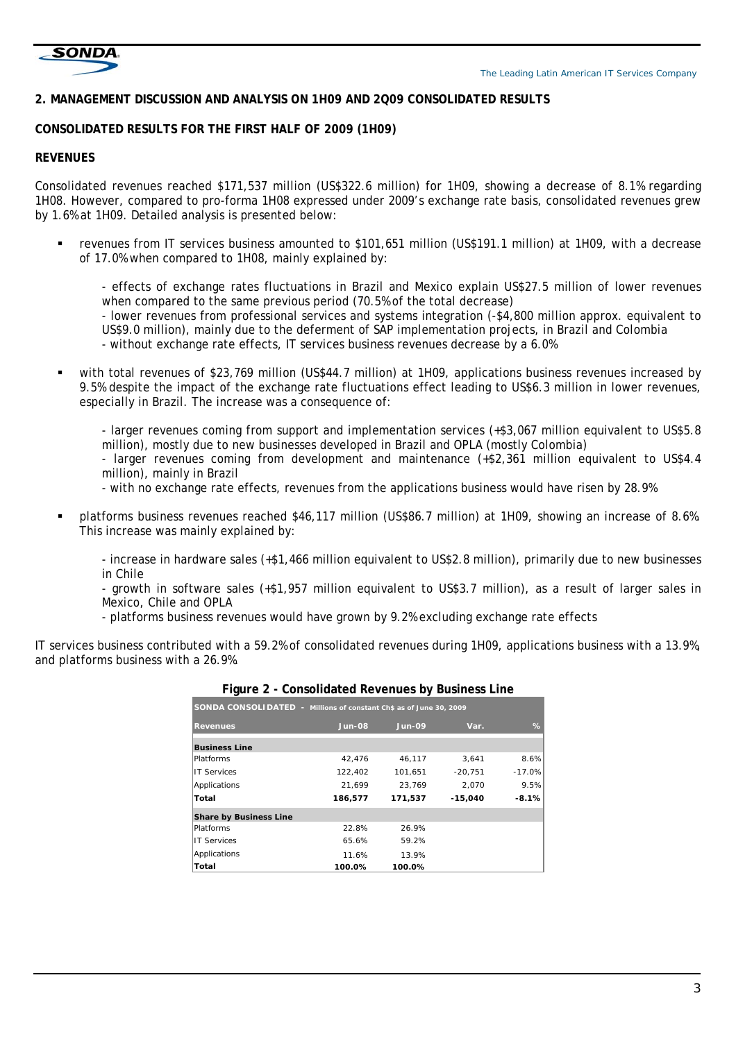

#### **2. MANAGEMENT DISCUSSION AND ANALYSIS ON 1H09 AND 2Q09 CONSOLIDATED RESULTS**

#### **CONSOLIDATED RESULTS FOR THE FIRST HALF OF 2009 (1H09)**

#### **REVENUES**

Consolidated revenues reached \$171,537 million (US\$322.6 million) for 1H09, showing a decrease of 8.1% regarding 1H08. However, compared to pro-forma 1H08 expressed under 2009's exchange rate basis, consolidated revenues grew by 1.6% at 1H09. Detailed analysis is presented below:

 revenues from IT services business amounted to \$101,651 million (US\$191.1 million) at 1H09, with a decrease of 17.0% when compared to 1H08, mainly explained by:

- effects of exchange rates fluctuations in Brazil and Mexico explain US\$27.5 million of lower revenues when compared to the same previous period (70.5% of the total decrease)

- lower revenues from professional services and systems integration (-\$4,800 million approx. equivalent to US\$9.0 million), mainly due to the deferment of SAP implementation projects, in Brazil and Colombia - without exchange rate effects, IT services business revenues decrease by a 6.0%

 with total revenues of \$23,769 million (US\$44.7 million) at 1H09, applications business revenues increased by 9.5% despite the impact of the exchange rate fluctuations effect leading to US\$6.3 million in lower revenues, especially in Brazil. The increase was a consequence of:

- larger revenues coming from support and implementation services (+\$3,067 million equivalent to US\$5.8 million), mostly due to new businesses developed in Brazil and OPLA (mostly Colombia)

- larger revenues coming from development and maintenance (+\$2,361 million equivalent to US\$4.4 million), mainly in Brazil

- with no exchange rate effects, revenues from the applications business would have risen by 28.9%
- platforms business revenues reached \$46,117 million (US\$86.7 million) at 1H09, showing an increase of 8.6%. This increase was mainly explained by:

- increase in hardware sales (+\$1,466 million equivalent to US\$2.8 million), primarily due to new businesses in Chile

- growth in software sales (+\$1,957 million equivalent to US\$3.7 million), as a result of larger sales in Mexico, Chile and OPLA

- platforms business revenues would have grown by 9.2% excluding exchange rate effects

IT services business contributed with a 59.2% of consolidated revenues during 1H09, applications business with a 13.9%, and platforms business with a 26.9%.

| SONDA CONSOLIDATED - Millions of constant Ch\$ as of June 30, 2009 |               |                       |           |          |  |  |  |  |  |
|--------------------------------------------------------------------|---------------|-----------------------|-----------|----------|--|--|--|--|--|
| <b>Revenues</b>                                                    | <b>Jun-08</b> | <b>Jun-09</b><br>Var. |           |          |  |  |  |  |  |
| <b>Business Line</b>                                               |               |                       |           |          |  |  |  |  |  |
| <b>Platforms</b>                                                   | 42,476        | 46,117                | 3.641     | 8.6%     |  |  |  |  |  |
| <b>IT Services</b>                                                 | 122,402       | 101.651               | $-20,751$ | $-17.0%$ |  |  |  |  |  |
| Applications                                                       | 21.699        | 23.769                | 2.070     | 9.5%     |  |  |  |  |  |
| Total                                                              | 186,577       | 171,537               | $-15,040$ | $-8.1%$  |  |  |  |  |  |
| <b>Share by Business Line</b>                                      |               |                       |           |          |  |  |  |  |  |
| <b>Platforms</b>                                                   | 22.8%         | 26.9%                 |           |          |  |  |  |  |  |
| <b>IT Services</b>                                                 | 65.6%         | 59.2%                 |           |          |  |  |  |  |  |
| Applications                                                       | 11.6%         | 13.9%                 |           |          |  |  |  |  |  |
| ∣Total                                                             | 100.0%        | 100.0%                |           |          |  |  |  |  |  |

**Figure 2 - Consolidated Revenues by Business Line**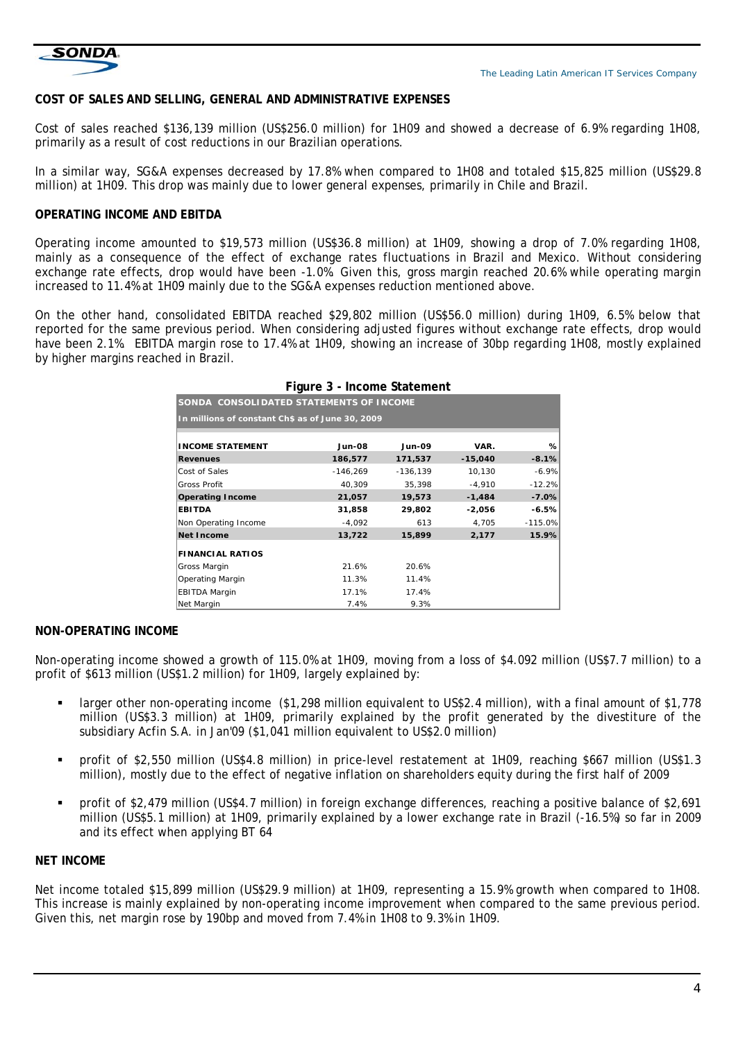

#### **COST OF SALES AND SELLING, GENERAL AND ADMINISTRATIVE EXPENSES**

Cost of sales reached \$136,139 million (US\$256.0 million) for 1H09 and showed a decrease of 6.9% regarding 1H08, primarily as a result of cost reductions in our Brazilian operations.

In a similar way, SG&A expenses decreased by 17.8% when compared to 1H08 and totaled \$15,825 million (US\$29.8 million) at 1H09. This drop was mainly due to lower general expenses, primarily in Chile and Brazil.

#### **OPERATING INCOME AND EBITDA**

Operating income amounted to \$19,573 million (US\$36.8 million) at 1H09, showing a drop of 7.0% regarding 1H08, mainly as a consequence of the effect of exchange rates fluctuations in Brazil and Mexico. Without considering exchange rate effects, drop would have been -1.0%. Given this, gross margin reached 20.6% while operating margin increased to 11.4% at 1H09 mainly due to the SG&A expenses reduction mentioned above.

On the other hand, consolidated EBITDA reached \$29,802 million (US\$56.0 million) during 1H09, 6.5% below that reported for the same previous period. When considering adjusted figures without exchange rate effects, drop would have been 2.1%. EBITDA margin rose to 17.4% at 1H09, showing an increase of 30bp regarding 1H08, mostly explained by higher margins reached in Brazil.

|                                                  | <u>rigare o - meome otatement</u> |               |           |           |
|--------------------------------------------------|-----------------------------------|---------------|-----------|-----------|
| SONDA CONSOLIDATED STATEMENTS OF INCOME          |                                   |               |           |           |
| In millions of constant Ch\$ as of June 30, 2009 |                                   |               |           |           |
|                                                  |                                   |               |           |           |
| <b>INCOME STATEMENT</b>                          | <b>Jun-08</b>                     | <b>Jun-09</b> | VAR.      | %         |
| <b>Revenues</b>                                  | 186,577                           | 171,537       | $-15,040$ | $-8.1%$   |
| Cost of Sales                                    | $-146,269$                        | $-136, 139$   | 10,130    | $-6.9%$   |
| Gross Profit                                     | 40.309                            | 35,398        | $-4,910$  | $-12.2%$  |
| <b>Operating Income</b>                          | 21,057                            | 19,573        | $-1.484$  | $-7.0%$   |
| <b>EBITDA</b>                                    | 31,858                            | 29,802        | $-2,056$  | $-6.5%$   |
| Non Operating Income                             | $-4,092$                          | 613           | 4,705     | $-115.0%$ |
| <b>Net Income</b>                                | 13,722                            | 15,899        | 2,177     | 15.9%     |
| <b>FINANCIAL RATIOS</b>                          |                                   |               |           |           |
| Gross Margin                                     | 21.6%                             | 20.6%         |           |           |
| Operating Margin                                 | 11.3%                             | 11.4%         |           |           |
| <b>EBITDA Margin</b>                             | 17.1%                             | 17.4%         |           |           |
| Net Margin                                       | 7.4%                              | 9.3%          |           |           |

#### **Figure 3 - Income Statement**

#### **NON-OPERATING INCOME**

Non-operating income showed a growth of 115.0% at 1H09, moving from a loss of \$4.092 million (US\$7.7 million) to a profit of \$613 million (US\$1.2 million) for 1H09, largely explained by:

- larger other non-operating income (\$1,298 million equivalent to US\$2.4 million), with a final amount of \$1,778 million (US\$3.3 million) at 1H09, primarily explained by the profit generated by the divestiture of the subsidiary Acfin S.A. in Jan'09 (\$1,041 million equivalent to US\$2.0 million)
- profit of \$2,550 million (US\$4.8 million) in price-level restatement at 1H09, reaching \$667 million (US\$1.3 million), mostly due to the effect of negative inflation on shareholders equity during the first half of 2009
- profit of \$2,479 million (US\$4.7 million) in foreign exchange differences, reaching a positive balance of \$2,691 million (US\$5.1 million) at 1H09, primarily explained by a lower exchange rate in Brazil (-16.5%) so far in 2009 and its effect when applying BT 64

#### **NET INCOME**

Net income totaled \$15,899 million (US\$29.9 million) at 1H09, representing a 15.9% growth when compared to 1H08. This increase is mainly explained by non-operating income improvement when compared to the same previous period. Given this, net margin rose by 190bp and moved from 7.4% in 1H08 to 9.3% in 1H09.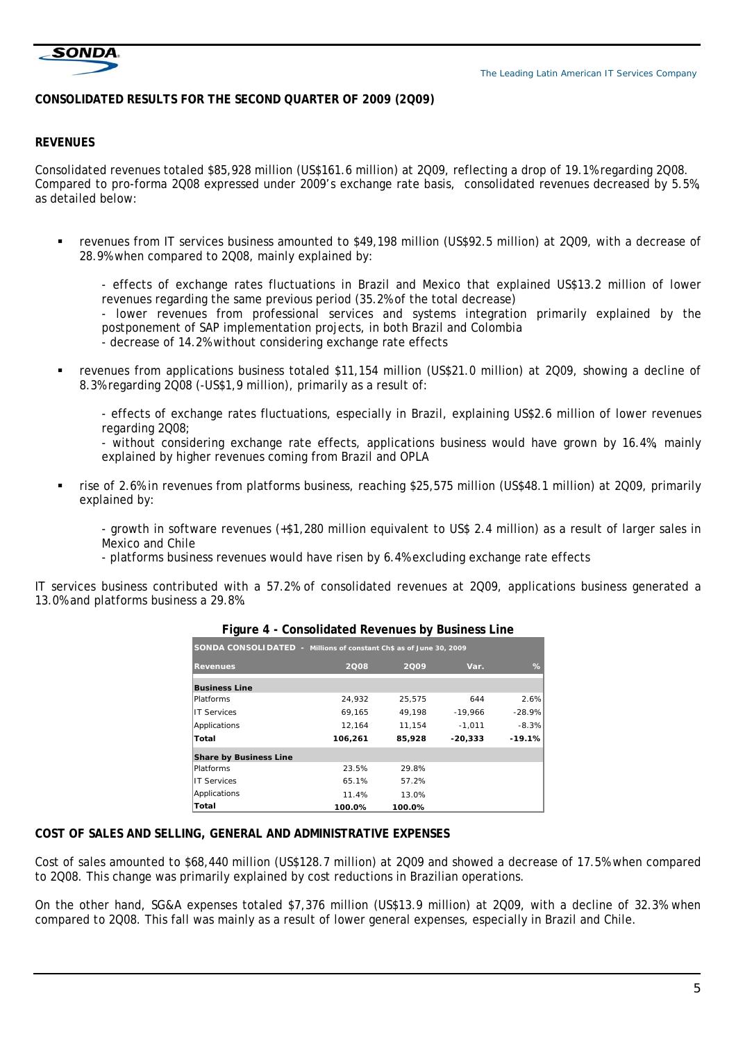

# **CONSOLIDATED RESULTS FOR THE SECOND QUARTER OF 2009 (2Q09)**

## **REVENUES**

Consolidated revenues totaled \$85,928 million (US\$161.6 million) at 2Q09, reflecting a drop of 19.1% regarding 2Q08. Compared to pro-forma 2Q08 expressed under 2009's exchange rate basis, consolidated revenues decreased by 5.5%, as detailed below:

 revenues from IT services business amounted to \$49,198 million (US\$92.5 million) at 2Q09, with a decrease of 28.9% when compared to 2Q08, mainly explained by:

- effects of exchange rates fluctuations in Brazil and Mexico that explained US\$13.2 million of lower revenues regarding the same previous period (35.2% of the total decrease)

- lower revenues from professional services and systems integration primarily explained by the postponement of SAP implementation projects, in both Brazil and Colombia

- decrease of 14.2% without considering exchange rate effects

 revenues from applications business totaled \$11,154 million (US\$21.0 million) at 2Q09, showing a decline of 8.3% regarding 2Q08 (-US\$1,9 million), primarily as a result of:

- effects of exchange rates fluctuations, especially in Brazil, explaining US\$2.6 million of lower revenues regarding 2Q08;

- without considering exchange rate effects, applications business would have grown by 16.4%, mainly explained by higher revenues coming from Brazil and OPLA

 rise of 2.6% in revenues from platforms business, reaching \$25,575 million (US\$48.1 million) at 2Q09, primarily explained by:

- growth in software revenues (+\$1,280 million equivalent to US\$ 2.4 million) as a result of larger sales in Mexico and Chile

- platforms business revenues would have risen by 6.4% excluding exchange rate effects

IT services business contributed with a 57.2% of consolidated revenues at 2Q09, applications business generated a 13.0% and platforms business a 29.8%.

| SONDA CONSOLIDATED - Millions of constant Ch\$ as of June 30, 2009 |         |              |           |          |  |  |  |  |  |  |
|--------------------------------------------------------------------|---------|--------------|-----------|----------|--|--|--|--|--|--|
| <b>Revenues</b>                                                    | 2008    | 2009<br>Var. |           |          |  |  |  |  |  |  |
| <b>Business Line</b>                                               |         |              |           |          |  |  |  |  |  |  |
| <b>Platforms</b>                                                   | 24.932  | 25.575       | 644       | 2.6%     |  |  |  |  |  |  |
| <b>IT Services</b>                                                 | 69,165  | 49,198       | $-19.966$ | $-28.9%$ |  |  |  |  |  |  |
| Applications                                                       | 12,164  | 11,154       | $-1,011$  | $-8.3%$  |  |  |  |  |  |  |
| <b>Total</b>                                                       | 106,261 | 85,928       | $-20,333$ | $-19.1%$ |  |  |  |  |  |  |
| <b>Share by Business Line</b>                                      |         |              |           |          |  |  |  |  |  |  |
| <b>Platforms</b>                                                   | 23.5%   | 29.8%        |           |          |  |  |  |  |  |  |
| <b>IT Services</b>                                                 | 65.1%   | 57.2%        |           |          |  |  |  |  |  |  |
| Applications                                                       | 11.4%   | 13.0%        |           |          |  |  |  |  |  |  |
| <b>Total</b>                                                       | 100.0%  | 100.0%       |           |          |  |  |  |  |  |  |

## **Figure 4 - Consolidated Revenues by Business Line**

# **COST OF SALES AND SELLING, GENERAL AND ADMINISTRATIVE EXPENSES**

Cost of sales amounted to \$68,440 million (US\$128.7 million) at 2Q09 and showed a decrease of 17.5% when compared to 2Q08. This change was primarily explained by cost reductions in Brazilian operations.

On the other hand, SG&A expenses totaled \$7,376 million (US\$13.9 million) at 2Q09, with a decline of 32.3% when compared to 2Q08. This fall was mainly as a result of lower general expenses, especially in Brazil and Chile.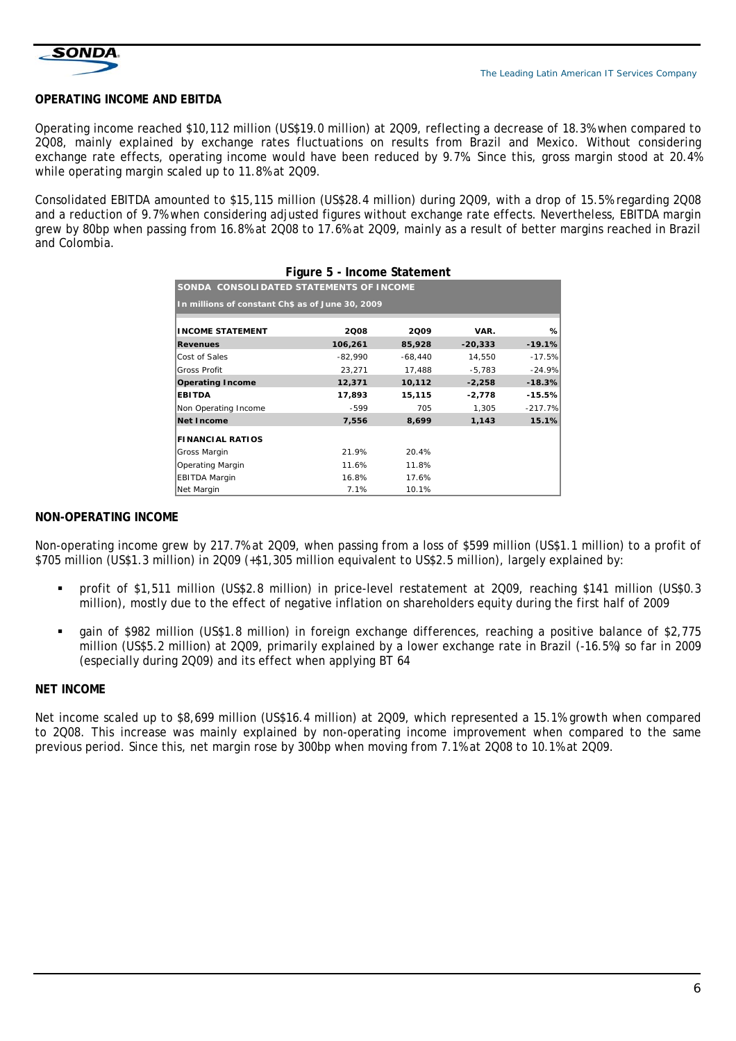

#### **OPERATING INCOME AND EBITDA**

Operating income reached \$10,112 million (US\$19.0 million) at 2Q09, reflecting a decrease of 18.3% when compared to 2Q08, mainly explained by exchange rates fluctuations on results from Brazil and Mexico. Without considering exchange rate effects, operating income would have been reduced by 9.7%. Since this, gross margin stood at 20.4% while operating margin scaled up to 11.8% at 2Q09.

Consolidated EBITDA amounted to \$15,115 million (US\$28.4 million) during 2Q09, with a drop of 15.5% regarding 2Q08 and a reduction of 9.7% when considering adjusted figures without exchange rate effects. Nevertheless, EBITDA margin grew by 80bp when passing from 16.8% at 2Q08 to 17.6% at 2Q09, mainly as a result of better margins reached in Brazil and Colombia.

| Figure 5 - Income Statement                      |           |           |           |           |  |  |  |  |  |  |
|--------------------------------------------------|-----------|-----------|-----------|-----------|--|--|--|--|--|--|
| SONDA CONSOLIDATED STATEMENTS OF INCOME          |           |           |           |           |  |  |  |  |  |  |
| In millions of constant Ch\$ as of June 30, 2009 |           |           |           |           |  |  |  |  |  |  |
| <b>INCOME STATEMENT</b>                          | 2008      | 2009      | VAR.      | ℅         |  |  |  |  |  |  |
| <b>Revenues</b>                                  | 106,261   | 85,928    | $-20,333$ | $-19.1%$  |  |  |  |  |  |  |
| Cost of Sales                                    | $-82,990$ | $-68,440$ | 14,550    | $-17.5%$  |  |  |  |  |  |  |
| Gross Profit                                     | 23,271    | 17,488    | $-5,783$  | $-24.9%$  |  |  |  |  |  |  |
| <b>Operating Income</b>                          | 12,371    | 10,112    | $-2,258$  | $-18.3%$  |  |  |  |  |  |  |
| <b>EBITDA</b>                                    | 17,893    | 15,115    | $-2,778$  | $-15.5%$  |  |  |  |  |  |  |
| Non Operating Income                             | $-599$    | 705       | 1,305     | $-217.7%$ |  |  |  |  |  |  |
| <b>Net Income</b>                                | 7,556     | 8,699     | 1,143     | 15.1%     |  |  |  |  |  |  |
| <b>FINANCIAL RATIOS</b>                          |           |           |           |           |  |  |  |  |  |  |
| Gross Margin                                     | 21.9%     | 20.4%     |           |           |  |  |  |  |  |  |
| Operating Margin                                 | 11.6%     | 11.8%     |           |           |  |  |  |  |  |  |
| <b>EBITDA Margin</b>                             | 16.8%     | 17.6%     |           |           |  |  |  |  |  |  |
| Net Margin                                       | 7.1%      | 10.1%     |           |           |  |  |  |  |  |  |

#### **NON-OPERATING INCOME**

Non-operating income grew by 217.7% at 2Q09, when passing from a loss of \$599 million (US\$1.1 million) to a profit of \$705 million (US\$1.3 million) in 2Q09 (+\$1,305 million equivalent to US\$2.5 million), largely explained by:

- profit of \$1,511 million (US\$2.8 million) in price-level restatement at 2Q09, reaching \$141 million (US\$0.3 million), mostly due to the effect of negative inflation on shareholders equity during the first half of 2009
- gain of \$982 million (US\$1.8 million) in foreign exchange differences, reaching a positive balance of \$2,775 million (US\$5.2 million) at 2Q09, primarily explained by a lower exchange rate in Brazil (-16.5%) so far in 2009 (especially during 2Q09) and its effect when applying BT 64

## **NET INCOME**

Net income scaled up to \$8,699 million (US\$16.4 million) at 2Q09, which represented a 15.1% growth when compared to 2Q08. This increase was mainly explained by non-operating income improvement when compared to the same previous period. Since this, net margin rose by 300bp when moving from 7.1% at 2Q08 to 10.1% at 2Q09.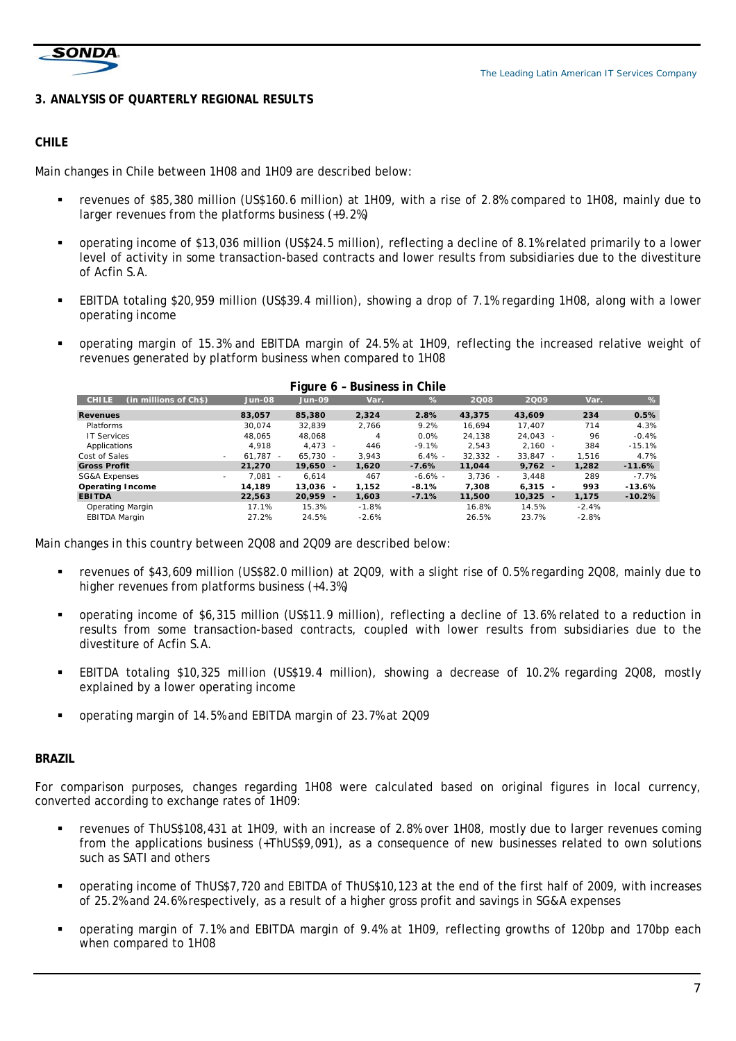

#### **3. ANALYSIS OF QUARTERLY REGIONAL RESULTS**

#### **CHILE**

Main changes in Chile between 1H08 and 1H09 are described below:

- revenues of \$85,380 million (US\$160.6 million) at 1H09, with a rise of 2.8% compared to 1H08, mainly due to larger revenues from the platforms business (+9.2%)
- operating income of \$13,036 million (US\$24.5 million), reflecting a decline of 8.1% related primarily to a lower level of activity in some transaction-based contracts and lower results from subsidiaries due to the divestiture of Acfin S.A.
- EBITDA totaling \$20,959 million (US\$39.4 million), showing a drop of 7.1% regarding 1H08, along with a lower operating income
- operating margin of 15.3% and EBITDA margin of 24.5% at 1H09, reflecting the increased relative weight of revenues generated by platform business when compared to 1H08

|                                       |                      | .                                  |         |           |            |            |         |          |
|---------------------------------------|----------------------|------------------------------------|---------|-----------|------------|------------|---------|----------|
| <b>CHILE</b><br>(in millions of Ch\$) | $Jun-08$             | <b>Jun-09</b>                      | Var.    | %         | 2008       | 2009       | Var.    | $\%$     |
| <b>Revenues</b>                       | 83,057               | 85,380                             | 2,324   | 2.8%      | 43,375     | 43,609     | 234     | 0.5%     |
| Platforms                             | 30.074               | 32.839                             | 2.766   | 9.2%      | 16.694     | 17.407     | 714     | 4.3%     |
| <b>IT Services</b>                    | 48.065               | 48.068                             | 4       | 0.0%      | 24.138     | $24.043 -$ | 96      | $-0.4%$  |
| Applications                          | 4.918                | $4.473 -$                          | 446     | $-9.1%$   | 2.543      | $2.160 -$  | 384     | $-15.1%$ |
| Cost of Sales                         | $61.787 -$<br>$\sim$ | 65.730<br>$\overline{a}$           | 3.943   | $6.4% -$  | $32,332 -$ | $33.847 -$ | 1.516   | 4.7%     |
| Gross Profit                          | 21.270               | 19,650<br>$\overline{\phantom{a}}$ | 1,620   | $-7.6%$   | 11.044     | $9.762 -$  | 1,282   | $-11.6%$ |
| SG&A Expenses                         | $7.081 -$<br>$\sim$  | 6.614                              | 467     | $-6.6%$ - | $3.736 -$  | 3.448      | 289     | $-7.7%$  |
| <b>Operating Income</b>               | 14.189               | 13.036<br>$\overline{\phantom{a}}$ | 1,152   | $-8.1%$   | 7.308      | $6,315 -$  | 993     | $-13.6%$ |
| <b>EBITDA</b>                         | 22,563               | 20,959<br>$\blacksquare$           | 1,603   | $-7.1%$   | 11,500     | $10,325 -$ | 1,175   | $-10.2%$ |
| <b>Operating Margin</b>               | 17.1%                | 15.3%                              | $-1.8%$ |           | 16.8%      | 14.5%      | $-2.4%$ |          |
| EBITDA Margin                         | 27.2%                | 24.5%                              | $-2.6%$ |           | 26.5%      | 23.7%      | $-2.8%$ |          |

# **Figure 6 – Business in Chile**

Main changes in this country between 2Q08 and 2Q09 are described below:

- revenues of \$43,609 million (US\$82.0 million) at 2Q09, with a slight rise of 0.5% regarding 2Q08, mainly due to higher revenues from platforms business (+4.3%)
- operating income of \$6,315 million (US\$11.9 million), reflecting a decline of 13.6% related to a reduction in results from some transaction-based contracts, coupled with lower results from subsidiaries due to the divestiture of Acfin S.A.
- EBITDA totaling \$10,325 million (US\$19.4 million), showing a decrease of 10.2% regarding 2Q08, mostly explained by a lower operating income
- operating margin of 14.5% and EBITDA margin of 23.7% at 2Q09

# **BRAZIL**

For comparison purposes, changes regarding 1H08 were calculated based on original figures in local currency, converted according to exchange rates of 1H09:

- revenues of ThUS\$108,431 at 1H09, with an increase of 2.8% over 1H08, mostly due to larger revenues coming from the applications business (+ThUS\$9,091), as a consequence of new businesses related to own solutions such as SATI and others
- operating income of ThUS\$7,720 and EBITDA of ThUS\$10,123 at the end of the first half of 2009, with increases of 25.2% and 24.6% respectively, as a result of a higher gross profit and savings in SG&A expenses
- operating margin of 7.1% and EBITDA margin of 9.4% at 1H09, reflecting growths of 120bp and 170bp each when compared to 1H08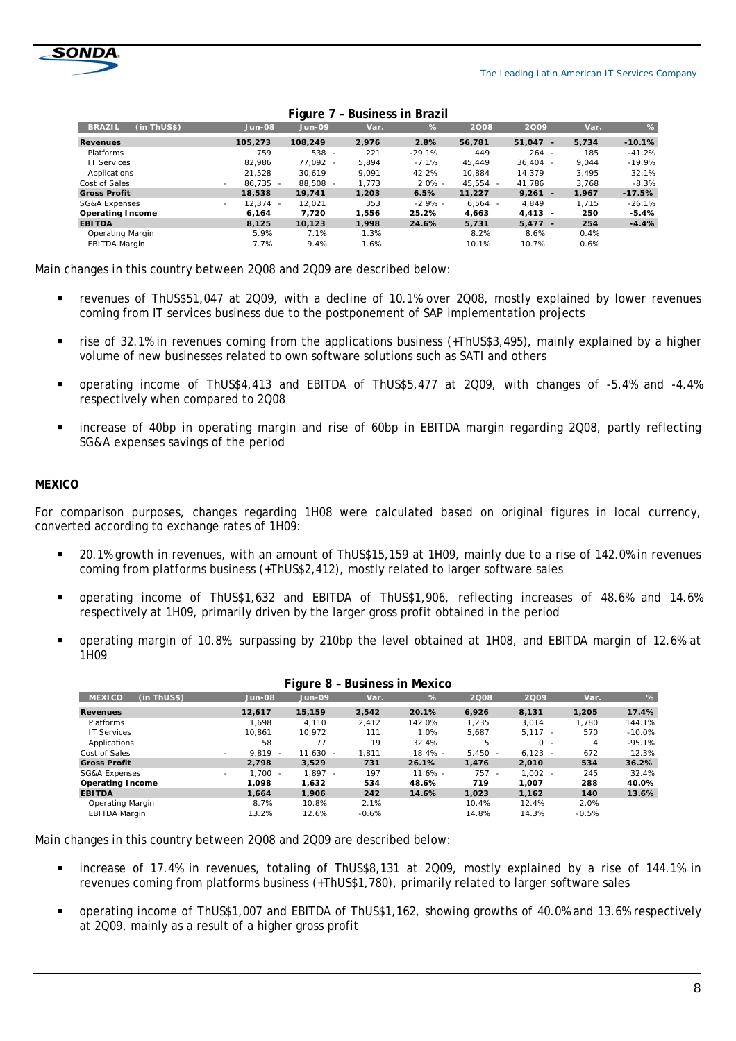

| (in ThUS\$)<br><b>BRAZIL</b> | <b>Jun-08</b>                                | <b>Jun-09</b>                      | Var.  | %          | 2008      | 2009                              | Var.  | %        |
|------------------------------|----------------------------------------------|------------------------------------|-------|------------|-----------|-----------------------------------|-------|----------|
| <b>Revenues</b>              | 105,273                                      | 108,249                            | 2,976 | 2.8%       | 56,781    | 51,047<br>$\sim$                  | 5.734 | $-10.1%$ |
| Platforms                    | 759                                          | 538<br>$\overline{a}$              | 221   | $-29.1%$   | 449       | $264 -$                           | 185   | $-41.2%$ |
| <b>IT Services</b>           | 82.986                                       | 77.092 -                           | 5.894 | $-7.1%$    | 45.449    | 36.404<br>$\sim$                  | 9.044 | $-19.9%$ |
| Applications                 | 21.528                                       | 30.619                             | 9.091 | 42.2%      | 10.884    | 14.379                            | 3.495 | 32.1%    |
| Cost of Sales                | 86.735<br>$\overline{\phantom{a}}$<br>$\sim$ | 88,508<br>$\overline{\phantom{a}}$ | 1.773 | $2.0\%$ -  | 45.554 -  | 41.786                            | 3.768 | $-8.3%$  |
| <b>Gross Profit</b>          | 18,538                                       | 19,741                             | 1.203 | 6.5%       | 11,227    | 9,261<br>$\sim$                   | 1.967 | $-17.5%$ |
| <b>SG&amp;A Expenses</b>     | 12.374<br>$\sim$<br>$\sim$                   | 12.021                             | 353   | $-2.9\%$ - | $6,564 -$ | 4.849                             | 1,715 | $-26.1%$ |
| <b>Operating Income</b>      | 6.164                                        | 7.720                              | 1.556 | 25.2%      | 4,663     | 4.413<br>$\overline{\phantom{a}}$ | 250   | $-5.4%$  |
| <b>EBITDA</b>                | 8.125                                        | 10.123                             | 1.998 | 24.6%      | 5,731     | $5.477 -$                         | 254   | $-4.4%$  |
| <b>Operating Margin</b>      | 5.9%                                         | 7.1%                               | 1.3%  |            | 8.2%      | 8.6%                              | 0.4%  |          |
| EBITDA Margin                | 7.7%                                         | 9.4%                               | 1.6%  |            | 10.1%     | 10.7%                             | 0.6%  |          |

#### **Figure 7 – Business in Brazil**

Main changes in this country between 2Q08 and 2Q09 are described below:

- revenues of ThUS\$51,047 at 2Q09, with a decline of 10.1% over 2Q08, mostly explained by lower revenues coming from IT services business due to the postponement of SAP implementation projects
- rise of 32.1% in revenues coming from the applications business (+ThUS\$3,495), mainly explained by a higher volume of new businesses related to own software solutions such as SATI and others
- operating income of ThUS\$4,413 and EBITDA of ThUS\$5,477 at 2Q09, with changes of -5.4% and -4.4% respectively when compared to 2Q08
- increase of 40bp in operating margin and rise of 60bp in EBITDA margin regarding 2Q08, partly reflecting SG&A expenses savings of the period

#### **MEXICO**

For comparison purposes, changes regarding 1H08 were calculated based on original figures in local currency, converted according to exchange rates of 1H09:

- 20.1% growth in revenues, with an amount of ThUS\$15,159 at 1H09, mainly due to a rise of 142.0% in revenues coming from platforms business (+ThUS\$2,412), mostly related to larger software sales
- operating income of ThUS\$1,632 and EBITDA of ThUS\$1,906, reflecting increases of 48.6% and 14.6% respectively at 1H09, primarily driven by the larger gross profit obtained in the period
- operating margin of 10.8%, surpassing by 210bp the level obtained at 1H08, and EBITDA margin of 12.6% at 1H09

| <u>I IGUI E O - DUSILIESS III MEAICO</u> |                 |                                   |         |           |                                   |           |         |          |
|------------------------------------------|-----------------|-----------------------------------|---------|-----------|-----------------------------------|-----------|---------|----------|
| <b>MEXICO</b><br>(in ThUS\$)             | <b>Jun-08</b>   | <b>Jun-09</b>                     | Var.    | %         | 2008                              | 2009      | Var.    | %        |
| <b>Revenues</b>                          | 12,617          | 15,159                            | 2,542   | 20.1%     | 6,926                             | 8,131     | 1.205   | 17.4%    |
| Platforms                                | 1.698           | 4.110                             | 2.412   | 142.0%    | 1.235                             | 3.014     | 1.780   | 144.1%   |
| <b>IT Services</b>                       | 10.861          | 10.972                            | 111     | 1.0%      | 5.687                             | $5,117 -$ | 570     | $-10.0%$ |
| Applications                             | 58              | 77                                | 19      | 32.4%     | 5                                 | $0 -$     | 4       | $-95.1%$ |
| Cost of Sales                            | $9.819 -$<br>۰  | 11.630                            | .811    | $18.4%$ - | 5,450<br>$\overline{\phantom{a}}$ | $6.123 -$ | 672     | 12.3%    |
| <b>Gross Profit</b>                      | 2.798           | 3.529                             | 731     | 26.1%     | 1,476                             | 2.010     | 534     | 36.2%    |
| <b>SG&amp;A Expenses</b>                 | $1.700 -$<br>۰. | 1.897<br>$\overline{\phantom{a}}$ | 197     | $11.6%$ - | 757<br>$\overline{\phantom{a}}$   | $1.002 -$ | 245     | 32.4%    |
| <b>Operating Income</b>                  | 1,098           | 1,632                             | 534     | 48.6%     | 719                               | 1.007     | 288     | 40.0%    |
| <b>EBITDA</b>                            | 1.664           | 1.906                             | 242     | 14.6%     | 1,023                             | 1,162     | 140     | 13.6%    |
| <b>Operating Margin</b>                  | 8.7%            | 10.8%                             | 2.1%    |           | 10.4%                             | 12.4%     | 2.0%    |          |
| EBITDA Margin                            | 13.2%           | 12.6%                             | $-0.6%$ |           | 14.8%                             | 14.3%     | $-0.5%$ |          |

# **Figure 8 – Business in Mexico**

Main changes in this country between 2Q08 and 2Q09 are described below:

- increase of 17.4% in revenues, totaling of ThUS\$8,131 at 2Q09, mostly explained by a rise of 144.1% in revenues coming from platforms business (+ThUS\$1,780), primarily related to larger software sales
- operating income of ThUS\$1,007 and EBITDA of ThUS\$1,162, showing growths of 40.0% and 13.6% respectively at 2Q09, mainly as a result of a higher gross profit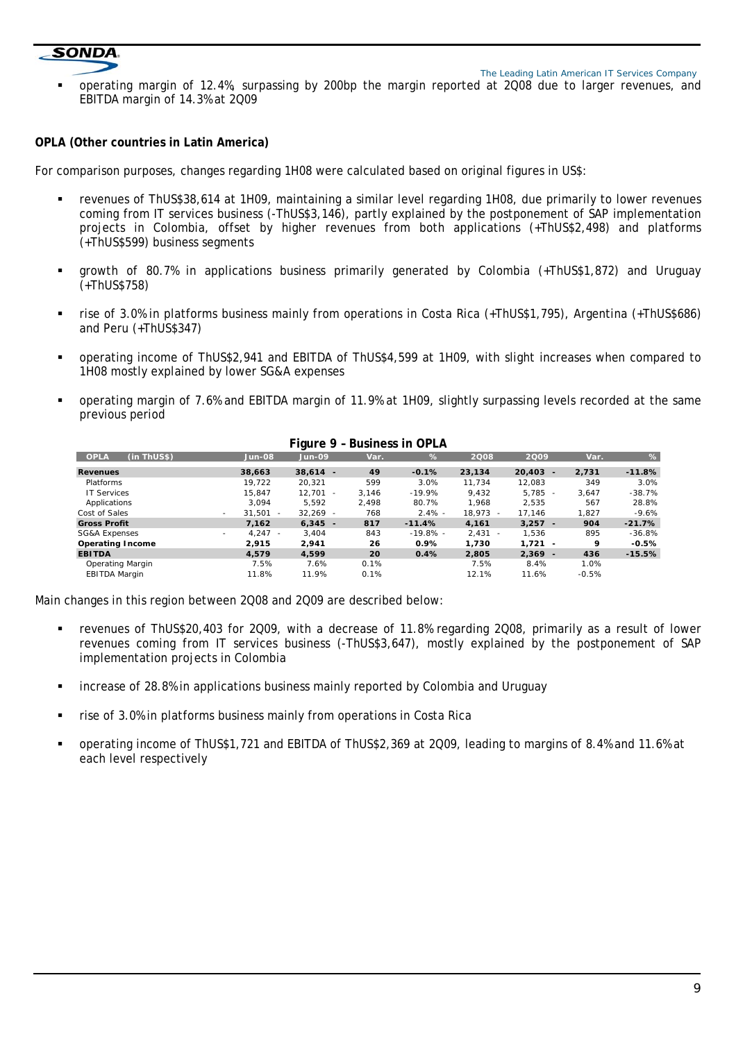# **SONDA**

The Leading Latin American IT Services Company

 operating margin of 12.4%, surpassing by 200bp the margin reported at 2Q08 due to larger revenues, and EBITDA margin of 14.3% at 2Q09

# **OPLA (Other countries in Latin America)**

For comparison purposes, changes regarding 1H08 were calculated based on original figures in US\$:

- revenues of ThUS\$38,614 at 1H09, maintaining a similar level regarding 1H08, due primarily to lower revenues coming from IT services business (-ThUS\$3,146), partly explained by the postponement of SAP implementation projects in Colombia, offset by higher revenues from both applications (+ThUS\$2,498) and platforms (+ThUS\$599) business segments
- growth of 80.7% in applications business primarily generated by Colombia (+ThUS\$1,872) and Uruguay (+ThUS\$758)
- rise of 3.0% in platforms business mainly from operations in Costa Rica (+ThUS\$1,795), Argentina (+ThUS\$686) and Peru (+ThUS\$347)
- operating income of ThUS\$2,941 and EBITDA of ThUS\$4,599 at 1H09, with slight increases when compared to 1H08 mostly explained by lower SG&A expenses
- operating margin of 7.6% and EBITDA margin of 11.9% at 1H09, slightly surpassing levels recorded at the same previous period

| Figult 7 - DUSILIESS III OF LA |                                              |                                    |       |            |                                    |                          |         |          |
|--------------------------------|----------------------------------------------|------------------------------------|-------|------------|------------------------------------|--------------------------|---------|----------|
| <b>OPLA</b><br>(in ThUS\$)     | <b>Jun-08</b>                                | <b>Jun-09</b>                      | Var.  | %          | 2008                               | 2009                     | Var.    | %        |
| <b>Revenues</b>                | 38,663                                       | 38,614<br>$\overline{\phantom{a}}$ | 49    | $-0.1%$    | 23,134                             | 20,403<br>$\blacksquare$ | 2,731   | $-11.8%$ |
| Platforms                      | 19.722                                       | 20.321                             | 599   | 3.0%       | 11.734                             | 12.083                   | 349     | 3.0%     |
| <b>IT Services</b>             | 15.847                                       | 12.701<br>$\sim$                   | 3.146 | $-19.9%$   | 9.432                              | 5.785<br>$\sim$          | 3.647   | $-38.7%$ |
| Applications                   | 3.094                                        | 5.592                              | 2.498 | 80.7%      | 1.968                              | 2.535                    | 567     | 28.8%    |
| Cost of Sales                  | 31.501<br>$\sim$<br>$\overline{\phantom{a}}$ | $32.269 -$                         | 768   | $2.4\%$ -  | 18.973<br>$\overline{\phantom{a}}$ | 17.146                   | 1,827   | $-9.6%$  |
| <b>Gross Profit</b>            | 7.162                                        | $6.345 -$                          | 817   | $-11.4%$   | 4,161                              | $3.257 -$                | 904     | $-21.7%$ |
| SG&A Expenses                  | $4.247 -$<br>$\sim$                          | 3.404                              | 843   | $-19.8%$ - | $2,431 -$                          | 1.536                    | 895     | $-36.8%$ |
| <b>Operating Income</b>        | 2.915                                        | 2.941                              | 26    | 0.9%       | 1.730                              | 1,721<br>$\blacksquare$  | 9       | $-0.5%$  |
| <b>EBITDA</b>                  | 4.579                                        | 4.599                              | 20    | 0.4%       | 2,805                              | $2,369 -$                | 436     | $-15.5%$ |
| <b>Operating Margin</b>        | 7.5%                                         | 7.6%                               | 0.1%  |            | 7.5%                               | 8.4%                     | 1.0%    |          |
| EBITDA Margin                  | 11.8%                                        | 11.9%                              | 0.1%  |            | 12.1%                              | 11.6%                    | $-0.5%$ |          |

**Figure 9 – Business in OPLA** 

Main changes in this region between 2Q08 and 2Q09 are described below:

- revenues of ThUS\$20,403 for 2Q09, with a decrease of 11.8% regarding 2Q08, primarily as a result of lower revenues coming from IT services business (-ThUS\$3,647), mostly explained by the postponement of SAP implementation projects in Colombia
- increase of 28.8% in applications business mainly reported by Colombia and Uruguay
- rise of 3.0% in platforms business mainly from operations in Costa Rica
- operating income of ThUS\$1,721 and EBITDA of ThUS\$2,369 at 2Q09, leading to margins of 8.4% and 11.6% at each level respectively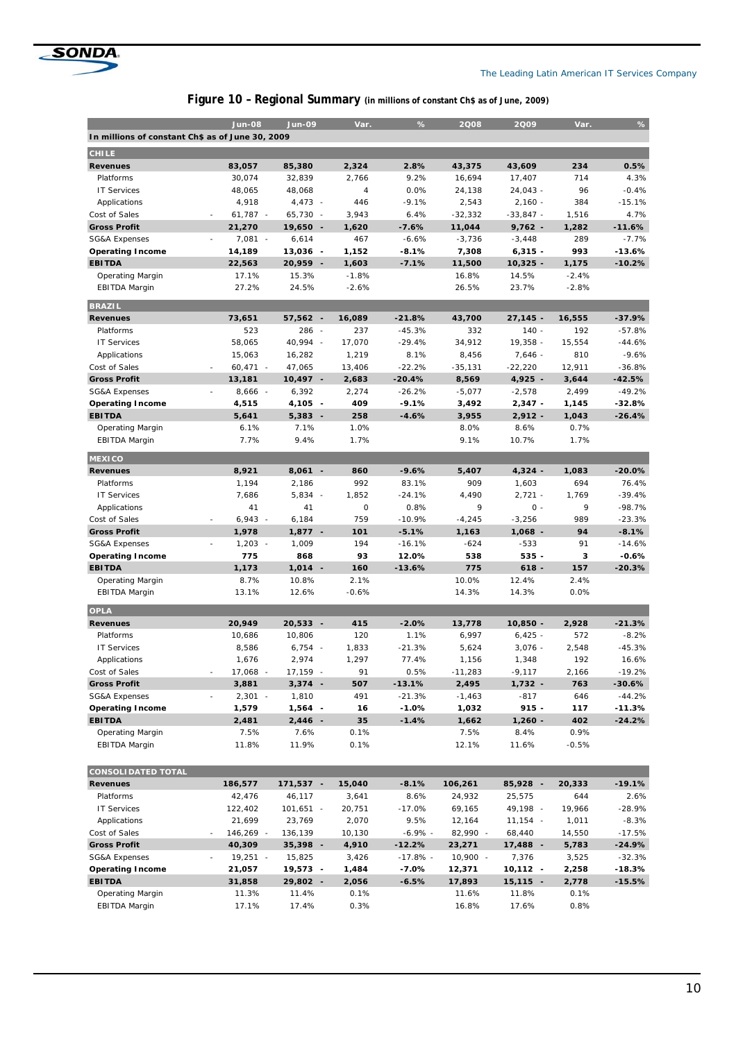

|                                                     | <b>Jun-08</b>       | <b>Jun-09</b>             | Var.           | %                  | 2Q08              | 2009                    |               | $\%$                |
|-----------------------------------------------------|---------------------|---------------------------|----------------|--------------------|-------------------|-------------------------|---------------|---------------------|
| In millions of constant Ch\$ as of June 30, 2009    |                     |                           |                |                    |                   |                         | Var.          |                     |
|                                                     |                     |                           |                |                    |                   |                         |               |                     |
| <b>CHILE</b>                                        |                     |                           |                |                    |                   |                         |               |                     |
| <b>Revenues</b>                                     | 83,057              | 85,380                    | 2,324          | 2.8%               | 43,375            | 43,609                  | 234           | 0.5%                |
| Platforms                                           | 30,074              | 32,839                    | 2,766          | 9.2%               | 16,694            | 17,407                  | 714           | 4.3%                |
| <b>IT Services</b>                                  | 48,065              | 48,068                    | $\overline{4}$ | 0.0%               | 24,138            | 24,043 -                | 96            | $-0.4%$             |
| Applications                                        | 4,918               | $4,473 -$                 | 446            | $-9.1%$            | 2,543             | $2,160 -$               | 384           | $-15.1%$            |
| Cost of Sales                                       | 61,787 -            | 65,730<br>$\sim$          | 3,943          | 6.4%               | $-32,332$         | $-33,847 -$             | 1,516         | 4.7%                |
| <b>Gross Profit</b>                                 | 21,270<br>$7,081 -$ | 19,650 -                  | 1,620          | $-7.6%$            | 11,044            | $9,762 -$               | 1,282         | $-11.6%$            |
| <b>SG&amp;A Expenses</b><br><b>Operating Income</b> | 14,189              | 6,614<br>13,036<br>$\sim$ | 467<br>1,152   | $-6.6%$<br>$-8.1%$ | $-3,736$<br>7,308 | $-3,448$                | 289<br>993    | $-7.7%$<br>$-13.6%$ |
| <b>EBITDA</b>                                       | 22,563              | 20,959 -                  | 1,603          | $-7.1%$            | 11,500            | $6,315 -$<br>$10,325 -$ | 1,175         | $-10.2%$            |
| <b>Operating Margin</b>                             | 17.1%               | 15.3%                     | $-1.8%$        |                    | 16.8%             | 14.5%                   | $-2.4%$       |                     |
| <b>EBITDA Margin</b>                                | 27.2%               | 24.5%                     | $-2.6%$        |                    | 26.5%             | 23.7%                   | $-2.8%$       |                     |
|                                                     |                     |                           |                |                    |                   |                         |               |                     |
| <b>BRAZIL</b>                                       |                     |                           |                |                    |                   |                         |               |                     |
| <b>Revenues</b>                                     | 73,651              | 57,562 -                  | 16,089         | $-21.8%$           | 43,700            | $27,145 -$              | 16,555        | $-37.9%$            |
| Platforms                                           | 523                 | 286<br>$\sim$             | 237            | $-45.3%$           | 332               | $140 -$                 | 192           | $-57.8%$            |
| <b>IT Services</b>                                  | 58,065              | 40,994 -                  | 17,070         | $-29.4%$           | 34,912            | 19,358 -                | 15,554        | $-44.6%$            |
| Applications                                        | 15,063              | 16,282                    | 1,219          | 8.1%               | 8,456             | 7,646 -                 | 810           | $-9.6%$             |
| Cost of Sales                                       | $60,471 -$<br>ä,    | 47,065                    | 13,406         | $-22.2%$           | $-35,131$         | $-22,220$               | 12,911        | $-36.8%$            |
| <b>Gross Profit</b>                                 | 13,181              | $10,497 -$                | 2,683          | $-20.4%$           | 8,569             | 4,925 -                 | 3,644         | $-42.5%$            |
| <b>SG&amp;A Expenses</b>                            | 8,666<br>$\sim$     | 6,392                     | 2,274          | $-26.2%$           | $-5,077$          | $-2,578$                | 2,499         | $-49.2%$            |
| <b>Operating Income</b>                             | 4,515               | $4,105 -$                 | 409            | $-9.1%$            | 3,492             | $2,347 -$               | 1,145         | $-32.8%$            |
| <b>EBITDA</b>                                       | 5,641               | $5,383 -$                 | 258            | $-4.6%$            | 3,955             | $2,912 -$               | 1,043         | $-26.4%$            |
| <b>Operating Margin</b>                             | 6.1%                | 7.1%                      | 1.0%           |                    | 8.0%              | 8.6%                    | 0.7%          |                     |
| <b>EBITDA Margin</b>                                | 7.7%                | 9.4%                      | 1.7%           |                    | 9.1%              | 10.7%                   | 1.7%          |                     |
| <b>MEXICO</b>                                       |                     |                           |                |                    |                   |                         |               |                     |
| <b>Revenues</b>                                     | 8,921               | $8,061 -$                 | 860            | $-9.6%$            | 5,407             | $4,324 -$               | 1,083         | $-20.0%$            |
| Platforms                                           | 1,194               | 2,186                     | 992            | 83.1%              | 909               | 1,603                   | 694           | 76.4%               |
| <b>IT Services</b>                                  | 7,686               | 5,834<br>$\sim$           | 1,852          | $-24.1%$           | 4,490             | $2,721 -$               | 1,769         | $-39.4%$            |
| Applications                                        | 41                  | 41                        | O              | 0.8%               | 9                 | $0 -$                   | 9             | $-98.7%$            |
| Cost of Sales                                       | $6,943 -$           | 6,184                     | 759            | $-10.9%$           | $-4,245$          | $-3,256$                | 989           | $-23.3%$            |
| <b>Gross Profit</b>                                 | 1,978               | $1,877 -$                 | 101            | $-5.1%$            | 1,163             | $1,068 -$               | 94            | $-8.1%$             |
| <b>SG&amp;A Expenses</b>                            | $1,203 -$           | 1,009                     | 194            | $-16.1%$           | $-624$            | $-533$                  | 91            | $-14.6%$            |
| <b>Operating Income</b>                             | 775                 | 868                       | 93             | 12.0%              | 538               | $535 -$                 | 3             | $-0.6%$             |
| <b>EBITDA</b>                                       | 1,173               | $1,014 -$                 | 160            | $-13.6%$           | 775               | $618 -$                 | 157           | $-20.3%$            |
| <b>Operating Margin</b>                             | 8.7%                | 10.8%                     | 2.1%           |                    | 10.0%             | 12.4%                   | 2.4%          |                     |
| <b>EBITDA Margin</b>                                | 13.1%               | 12.6%                     | $-0.6%$        |                    | 14.3%             | 14.3%                   | 0.0%          |                     |
| <b>OPLA</b>                                         |                     |                           |                |                    |                   |                         |               |                     |
| <b>Revenues</b>                                     | 20,949              | 20,533 -                  | 415            | $-2.0%$            | 13,778            | $10,850 -$              | 2,928         | $-21.3%$            |
| Platforms                                           | 10,686              | 10,806                    | 120            | 1.1%               | 6,997             | $6,425 -$               | 572           | $-8.2%$             |
| <b>IT Services</b>                                  | 8,586               | $6,754 -$                 | 1,833          | $-21.3%$           | 5,624             | $3,076 -$               | 2,548         | $-45.3%$            |
| Applications                                        | 1,676               | 2,974                     | 1,297          | 77.4%              | 1,156             | 1,348                   | 192           | 16.6%               |
| Cost of Sales                                       | 17,068 -<br>÷,      | 17,159 -                  | 91             | 0.5%               | $-11,283$         | $-9,117$                | 2,166         | $-19.2%$            |
| <b>Gross Profit</b>                                 | 3,881               | $3,374 -$                 | 507            | $-13.1%$           | 2,495             | $1,732 -$               | 763           | $-30.6%$            |
| <b>SG&amp;A Expenses</b>                            | $2,301 -$           | 1,810                     | 491            | $-21.3%$           | $-1,463$          | $-817$                  | 646           | $-44.2%$            |
| <b>Operating Income</b>                             | 1,579               | $1,564 -$                 | 16             | $-1.0%$            | 1,032             | $915 -$                 | 117           | $-11.3%$            |
| <b>EBITDA</b>                                       | 2,481               | $2,446 -$                 | 35             | $-1.4%$            | 1,662             | $1,260 -$               | 402           | $-24.2%$            |
| <b>Operating Margin</b>                             | 7.5%                | 7.6%                      | 0.1%           |                    | 7.5%              | 8.4%                    | 0.9%          |                     |
| <b>EBITDA Margin</b>                                | 11.8%               | 11.9%                     | 0.1%           |                    | 12.1%             | 11.6%                   | $-0.5%$       |                     |
|                                                     |                     |                           |                |                    |                   |                         |               |                     |
| <b>CONSOLIDATED TOTAL</b>                           |                     |                           |                |                    |                   |                         |               |                     |
| <b>Revenues</b>                                     | 186,577             | 171,537 -                 | 15,040         | $-8.1%$            | 106,261           | 85,928 -                | 20,333        | $-19.1%$            |
| Platforms                                           | 42,476              | 46,117                    | 3,641          | 8.6%               | 24,932            | 25,575                  | 644           | 2.6%                |
| <b>IT Services</b>                                  | 122,402             | $101,651 -$               | 20,751         | $-17.0%$           | 69,165            | 49,198 -                | 19,966        | $-28.9%$            |
| Applications                                        | 21,699              | 23,769                    | 2,070          | 9.5%               | 12,164            | $11,154 -$              | 1,011         | $-8.3%$             |
| Cost of Sales                                       | 146,269 -<br>÷,     | 136,139                   | 10,130         | $-6.9\%$ -         | 82,990 -          | 68,440                  | 14,550        | $-17.5%$            |
| <b>Gross Profit</b>                                 | 40,309              | 35,398 -                  | 4,910          | $-12.2%$           | 23,271            | 17,488 -                | 5,783         | -24.9%              |
| <b>SG&amp;A Expenses</b>                            | $19,251 -$          | 15,825                    | 3,426          | $-17.8%$ -         | 10,900 -          | 7,376                   | 3,525         | $-32.3%$            |
| <b>Operating Income</b><br><b>EBITDA</b>            | 21,057              | 19,573 -                  | 1,484          | $-7.0%$            | 12,371            | $10,112 -$              | 2,258         | -18.3%              |
| <b>Operating Margin</b>                             | 31,858<br>11.3%     | 29,802 -<br>11.4%         | 2,056<br>0.1%  | $-6.5%$            | 17,893<br>11.6%   | $15,115 -$<br>11.8%     | 2,778<br>0.1% | $-15.5%$            |
| <b>EBITDA Margin</b>                                | 17.1%               | 17.4%                     | 0.3%           |                    | 16.8%             | 17.6%                   | 0.8%          |                     |
|                                                     |                     |                           |                |                    |                   |                         |               |                     |